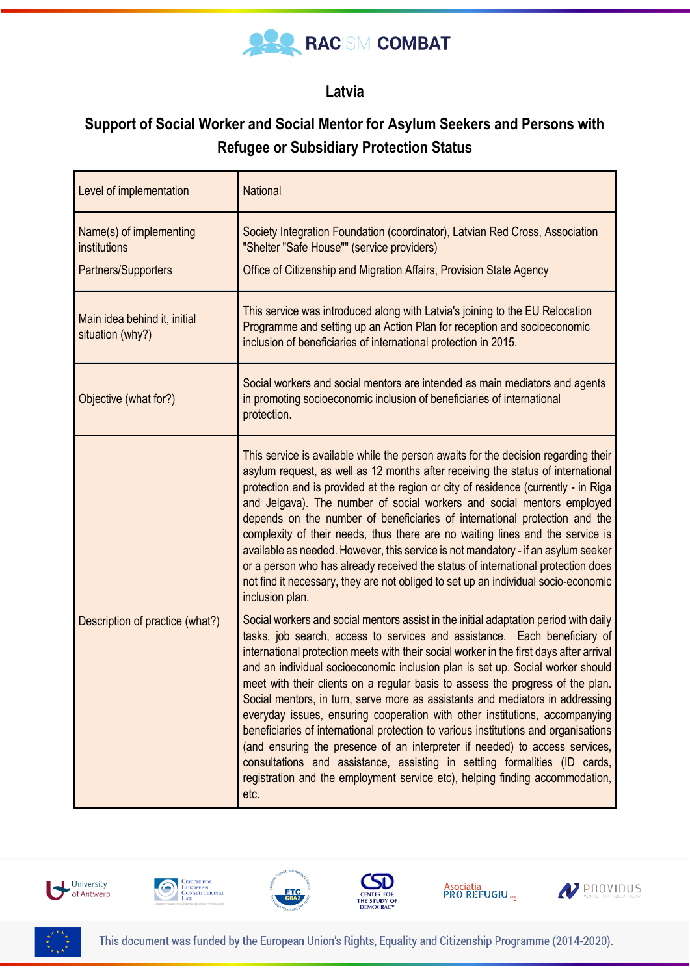

## **Latvia**

## **Support of Social Worker and Social Mentor for Asylum Seekers and Persons with Refugee or Subsidiary Protection Status**

| Level of implementation                                        | <b>National</b>                                                                                                                                                                                                                                                                                                                                                                                                                                                                                                                                                                                                                                                                                                                                                                                                                                                                                                                              |
|----------------------------------------------------------------|----------------------------------------------------------------------------------------------------------------------------------------------------------------------------------------------------------------------------------------------------------------------------------------------------------------------------------------------------------------------------------------------------------------------------------------------------------------------------------------------------------------------------------------------------------------------------------------------------------------------------------------------------------------------------------------------------------------------------------------------------------------------------------------------------------------------------------------------------------------------------------------------------------------------------------------------|
| Name(s) of implementing<br>institutions<br>Partners/Supporters | Society Integration Foundation (coordinator), Latvian Red Cross, Association<br>"Shelter "Safe House"" (service providers)<br>Office of Citizenship and Migration Affairs, Provision State Agency                                                                                                                                                                                                                                                                                                                                                                                                                                                                                                                                                                                                                                                                                                                                            |
| Main idea behind it, initial<br>situation (why?)               | This service was introduced along with Latvia's joining to the EU Relocation<br>Programme and setting up an Action Plan for reception and socioeconomic<br>inclusion of beneficiaries of international protection in 2015.                                                                                                                                                                                                                                                                                                                                                                                                                                                                                                                                                                                                                                                                                                                   |
| Objective (what for?)                                          | Social workers and social mentors are intended as main mediators and agents<br>in promoting socioeconomic inclusion of beneficiaries of international<br>protection.                                                                                                                                                                                                                                                                                                                                                                                                                                                                                                                                                                                                                                                                                                                                                                         |
| Description of practice (what?)                                | This service is available while the person awaits for the decision regarding their<br>asylum request, as well as 12 months after receiving the status of international<br>protection and is provided at the region or city of residence (currently - in Riga<br>and Jelgava). The number of social workers and social mentors employed<br>depends on the number of beneficiaries of international protection and the<br>complexity of their needs, thus there are no waiting lines and the service is<br>available as needed. However, this service is not mandatory - if an asylum seeker<br>or a person who has already received the status of international protection does<br>not find it necessary, they are not obliged to set up an individual socio-economic<br>inclusion plan.                                                                                                                                                      |
|                                                                | Social workers and social mentors assist in the initial adaptation period with daily<br>tasks, job search, access to services and assistance. Each beneficiary of<br>international protection meets with their social worker in the first days after arrival<br>and an individual socioeconomic inclusion plan is set up. Social worker should<br>meet with their clients on a regular basis to assess the progress of the plan.<br>Social mentors, in turn, serve more as assistants and mediators in addressing<br>everyday issues, ensuring cooperation with other institutions, accompanying<br>beneficiaries of international protection to various institutions and organisations<br>(and ensuring the presence of an interpreter if needed) to access services,<br>consultations and assistance, assisting in settling formalities (ID cards,<br>registration and the employment service etc), helping finding accommodation,<br>etc. |









Asociatia<br>PRO REFUGIU...



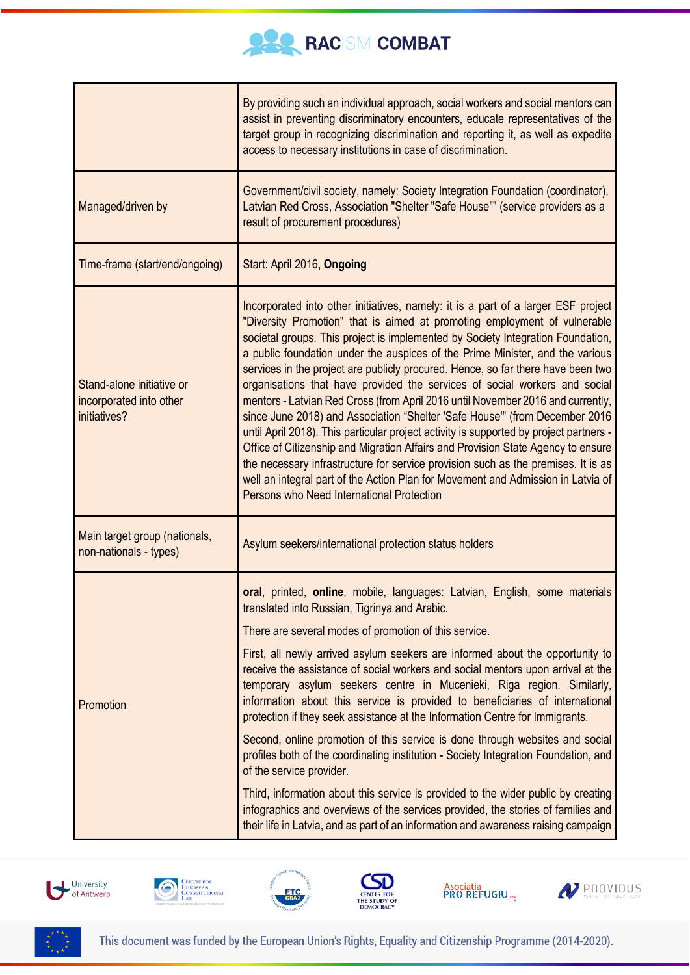

|                                                                      | By providing such an individual approach, social workers and social mentors can<br>assist in preventing discriminatory encounters, educate representatives of the<br>target group in recognizing discrimination and reporting it, as well as expedite<br>access to necessary institutions in case of discrimination.                                                                                                                                                                                                                                                                                                                                                                                                                                                                                                                                                                                                                                                                                                                                                       |
|----------------------------------------------------------------------|----------------------------------------------------------------------------------------------------------------------------------------------------------------------------------------------------------------------------------------------------------------------------------------------------------------------------------------------------------------------------------------------------------------------------------------------------------------------------------------------------------------------------------------------------------------------------------------------------------------------------------------------------------------------------------------------------------------------------------------------------------------------------------------------------------------------------------------------------------------------------------------------------------------------------------------------------------------------------------------------------------------------------------------------------------------------------|
| Managed/driven by                                                    | Government/civil society, namely: Society Integration Foundation (coordinator),<br>Latvian Red Cross, Association "Shelter "Safe House"" (service providers as a<br>result of procurement procedures)                                                                                                                                                                                                                                                                                                                                                                                                                                                                                                                                                                                                                                                                                                                                                                                                                                                                      |
| Time-frame (start/end/ongoing)                                       | Start: April 2016, Ongoing                                                                                                                                                                                                                                                                                                                                                                                                                                                                                                                                                                                                                                                                                                                                                                                                                                                                                                                                                                                                                                                 |
| Stand-alone initiative or<br>incorporated into other<br>initiatives? | Incorporated into other initiatives, namely: it is a part of a larger ESF project<br>"Diversity Promotion" that is aimed at promoting employment of vulnerable<br>societal groups. This project is implemented by Society Integration Foundation,<br>a public foundation under the auspices of the Prime Minister, and the various<br>services in the project are publicly procured. Hence, so far there have been two<br>organisations that have provided the services of social workers and social<br>mentors - Latvian Red Cross (from April 2016 until November 2016 and currently,<br>since June 2018) and Association "Shelter 'Safe House'" (from December 2016<br>until April 2018). This particular project activity is supported by project partners -<br>Office of Citizenship and Migration Affairs and Provision State Agency to ensure<br>the necessary infrastructure for service provision such as the premises. It is as<br>well an integral part of the Action Plan for Movement and Admission in Latvia of<br>Persons who Need International Protection |
| Main target group (nationals,<br>non-nationals - types)              | Asylum seekers/international protection status holders                                                                                                                                                                                                                                                                                                                                                                                                                                                                                                                                                                                                                                                                                                                                                                                                                                                                                                                                                                                                                     |
| Promotion                                                            | oral, printed, online, mobile, languages: Latvian, English, some materials<br>translated into Russian, Tigrinya and Arabic.<br>There are several modes of promotion of this service.<br>First, all newly arrived asylum seekers are informed about the opportunity to<br>receive the assistance of social workers and social mentors upon arrival at the<br>temporary asylum seekers centre in Mucenieki, Riga region. Similarly,<br>information about this service is provided to beneficiaries of international<br>protection if they seek assistance at the Information Centre for Immigrants.<br>Second, online promotion of this service is done through websites and social<br>profiles both of the coordinating institution - Society Integration Foundation, and<br>of the service provider.<br>Third, information about this service is provided to the wider public by creating<br>infographics and overviews of the services provided, the stories of families and<br>their life in Latvia, and as part of an information and awareness raising campaign        |













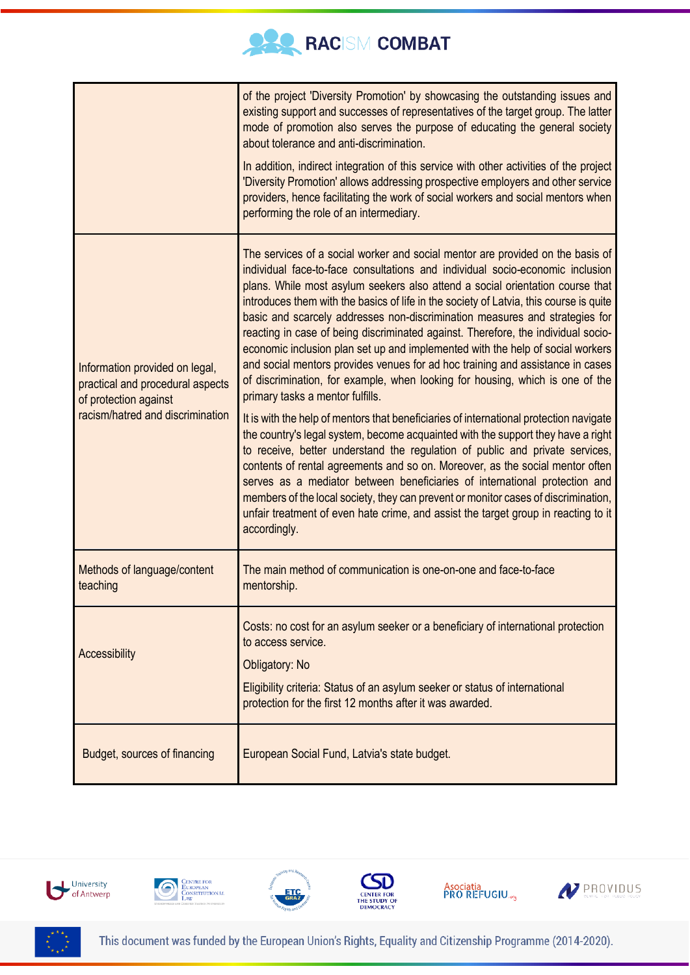

|                                                                                                                                 | of the project 'Diversity Promotion' by showcasing the outstanding issues and<br>existing support and successes of representatives of the target group. The latter<br>mode of promotion also serves the purpose of educating the general society<br>about tolerance and anti-discrimination.<br>In addition, indirect integration of this service with other activities of the project<br>'Diversity Promotion' allows addressing prospective employers and other service<br>providers, hence facilitating the work of social workers and social mentors when<br>performing the role of an intermediary.                                                                                                                                                                                                                                                                                                                                                                                                                                                                                                                                                                                                                                                                                                                                                                                                                         |
|---------------------------------------------------------------------------------------------------------------------------------|----------------------------------------------------------------------------------------------------------------------------------------------------------------------------------------------------------------------------------------------------------------------------------------------------------------------------------------------------------------------------------------------------------------------------------------------------------------------------------------------------------------------------------------------------------------------------------------------------------------------------------------------------------------------------------------------------------------------------------------------------------------------------------------------------------------------------------------------------------------------------------------------------------------------------------------------------------------------------------------------------------------------------------------------------------------------------------------------------------------------------------------------------------------------------------------------------------------------------------------------------------------------------------------------------------------------------------------------------------------------------------------------------------------------------------|
| Information provided on legal,<br>practical and procedural aspects<br>of protection against<br>racism/hatred and discrimination | The services of a social worker and social mentor are provided on the basis of<br>individual face-to-face consultations and individual socio-economic inclusion<br>plans. While most asylum seekers also attend a social orientation course that<br>introduces them with the basics of life in the society of Latvia, this course is quite<br>basic and scarcely addresses non-discrimination measures and strategies for<br>reacting in case of being discriminated against. Therefore, the individual socio-<br>economic inclusion plan set up and implemented with the help of social workers<br>and social mentors provides venues for ad hoc training and assistance in cases<br>of discrimination, for example, when looking for housing, which is one of the<br>primary tasks a mentor fulfills.<br>It is with the help of mentors that beneficiaries of international protection navigate<br>the country's legal system, become acquainted with the support they have a right<br>to receive, better understand the regulation of public and private services,<br>contents of rental agreements and so on. Moreover, as the social mentor often<br>serves as a mediator between beneficiaries of international protection and<br>members of the local society, they can prevent or monitor cases of discrimination,<br>unfair treatment of even hate crime, and assist the target group in reacting to it<br>accordingly. |
| Methods of language/content<br>teaching                                                                                         | The main method of communication is one-on-one and face-to-face<br>mentorship.                                                                                                                                                                                                                                                                                                                                                                                                                                                                                                                                                                                                                                                                                                                                                                                                                                                                                                                                                                                                                                                                                                                                                                                                                                                                                                                                                   |
| Accessibility                                                                                                                   | Costs: no cost for an asylum seeker or a beneficiary of international protection<br>to access service.<br>Obligatory: No<br>Eligibility criteria: Status of an asylum seeker or status of international<br>protection for the first 12 months after it was awarded.                                                                                                                                                                                                                                                                                                                                                                                                                                                                                                                                                                                                                                                                                                                                                                                                                                                                                                                                                                                                                                                                                                                                                              |
| Budget, sources of financing                                                                                                    | European Social Fund, Latvia's state budget.                                                                                                                                                                                                                                                                                                                                                                                                                                                                                                                                                                                                                                                                                                                                                                                                                                                                                                                                                                                                                                                                                                                                                                                                                                                                                                                                                                                     |









Asociatia<br>PRO REFUGIU.<sub>«3</sub>



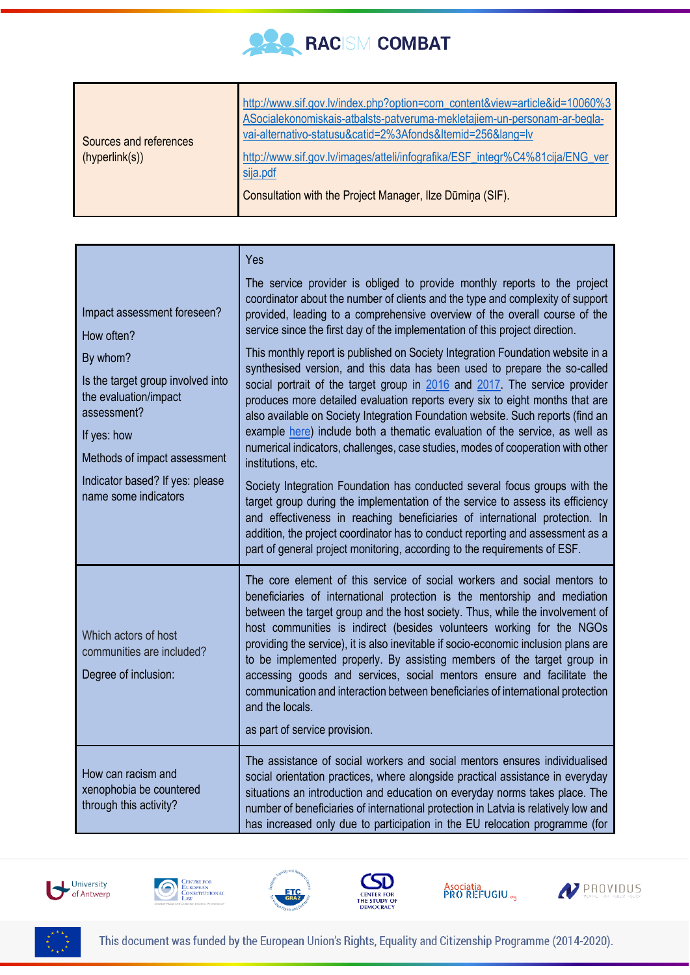

|                                                                                                                                                                         | Yes                                                                                                                                                                                                                                                                                                                                                                                                                                                                                                                                                                                                                                                                                                |
|-------------------------------------------------------------------------------------------------------------------------------------------------------------------------|----------------------------------------------------------------------------------------------------------------------------------------------------------------------------------------------------------------------------------------------------------------------------------------------------------------------------------------------------------------------------------------------------------------------------------------------------------------------------------------------------------------------------------------------------------------------------------------------------------------------------------------------------------------------------------------------------|
| Impact assessment foreseen?<br>How often?                                                                                                                               | The service provider is obliged to provide monthly reports to the project<br>coordinator about the number of clients and the type and complexity of support<br>provided, leading to a comprehensive overview of the overall course of the<br>service since the first day of the implementation of this project direction.                                                                                                                                                                                                                                                                                                                                                                          |
| By whom?<br>Is the target group involved into<br>the evaluation/impact<br>assessment?<br>If yes: how<br>Methods of impact assessment<br>Indicator based? If yes: please | This monthly report is published on Society Integration Foundation website in a<br>synthesised version, and this data has been used to prepare the so-called<br>social portrait of the target group in 2016 and 2017. The service provider<br>produces more detailed evaluation reports every six to eight months that are<br>also available on Society Integration Foundation website. Such reports (find an<br>example here) include both a thematic evaluation of the service, as well as<br>numerical indicators, challenges, case studies, modes of cooperation with other<br>institutions, etc.<br>Society Integration Foundation has conducted several focus groups with the                |
| name some indicators                                                                                                                                                    | target group during the implementation of the service to assess its efficiency<br>and effectiveness in reaching beneficiaries of international protection. In<br>addition, the project coordinator has to conduct reporting and assessment as a<br>part of general project monitoring, according to the requirements of ESF.                                                                                                                                                                                                                                                                                                                                                                       |
| Which actors of host<br>communities are included?<br>Degree of inclusion:                                                                                               | The core element of this service of social workers and social mentors to<br>beneficiaries of international protection is the mentorship and mediation<br>between the target group and the host society. Thus, while the involvement of<br>host communities is indirect (besides volunteers working for the NGOs<br>providing the service), it is also inevitable if socio-economic inclusion plans are<br>to be implemented properly. By assisting members of the target group in<br>accessing goods and services, social mentors ensure and facilitate the<br>communication and interaction between beneficiaries of international protection<br>and the locals.<br>as part of service provision. |
| How can racism and<br>xenophobia be countered<br>through this activity?                                                                                                 | The assistance of social workers and social mentors ensures individualised<br>social orientation practices, where alongside practical assistance in everyday<br>situations an introduction and education on everyday norms takes place. The<br>number of beneficiaries of international protection in Latvia is relatively low and<br>has increased only due to participation in the EU relocation programme (for                                                                                                                                                                                                                                                                                  |









Asociatia<br>PRO REFUGIU.<sub>«3</sub>



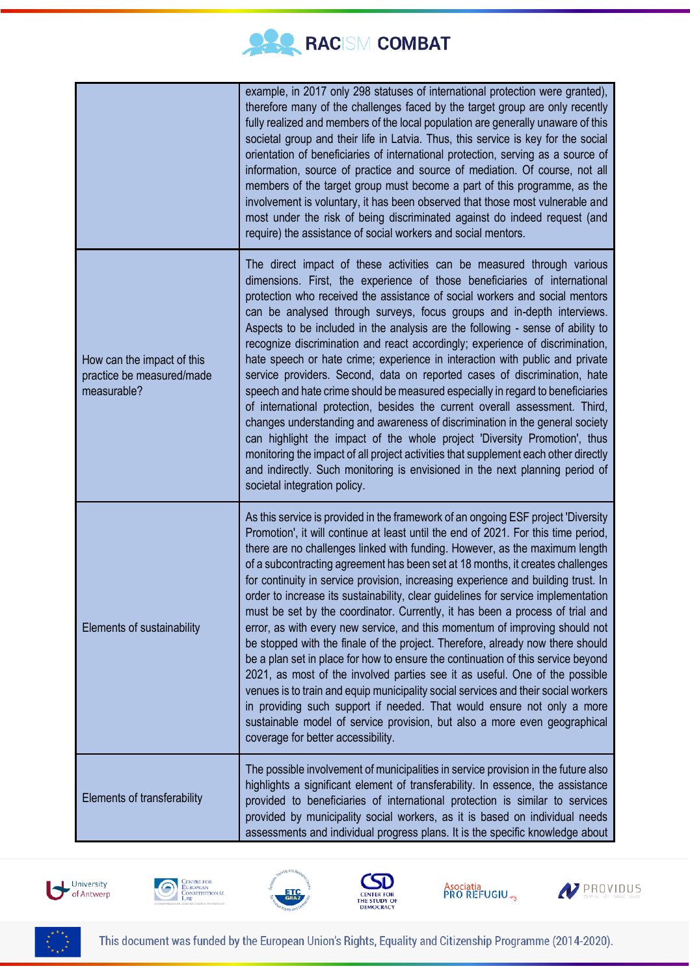

|                                                                        | example, in 2017 only 298 statuses of international protection were granted),<br>therefore many of the challenges faced by the target group are only recently<br>fully realized and members of the local population are generally unaware of this<br>societal group and their life in Latvia. Thus, this service is key for the social<br>orientation of beneficiaries of international protection, serving as a source of<br>information, source of practice and source of mediation. Of course, not all<br>members of the target group must become a part of this programme, as the<br>involvement is voluntary, it has been observed that those most vulnerable and<br>most under the risk of being discriminated against do indeed request (and<br>require) the assistance of social workers and social mentors.                                                                                                                                                                                                                                                                                                                                                                                                       |
|------------------------------------------------------------------------|----------------------------------------------------------------------------------------------------------------------------------------------------------------------------------------------------------------------------------------------------------------------------------------------------------------------------------------------------------------------------------------------------------------------------------------------------------------------------------------------------------------------------------------------------------------------------------------------------------------------------------------------------------------------------------------------------------------------------------------------------------------------------------------------------------------------------------------------------------------------------------------------------------------------------------------------------------------------------------------------------------------------------------------------------------------------------------------------------------------------------------------------------------------------------------------------------------------------------|
| How can the impact of this<br>practice be measured/made<br>measurable? | The direct impact of these activities can be measured through various<br>dimensions. First, the experience of those beneficiaries of international<br>protection who received the assistance of social workers and social mentors<br>can be analysed through surveys, focus groups and in-depth interviews.<br>Aspects to be included in the analysis are the following - sense of ability to<br>recognize discrimination and react accordingly; experience of discrimination,<br>hate speech or hate crime; experience in interaction with public and private<br>service providers. Second, data on reported cases of discrimination, hate<br>speech and hate crime should be measured especially in regard to beneficiaries<br>of international protection, besides the current overall assessment. Third,<br>changes understanding and awareness of discrimination in the general society<br>can highlight the impact of the whole project 'Diversity Promotion', thus<br>monitoring the impact of all project activities that supplement each other directly<br>and indirectly. Such monitoring is envisioned in the next planning period of<br>societal integration policy.                                           |
| Elements of sustainability                                             | As this service is provided in the framework of an ongoing ESF project 'Diversity<br>Promotion', it will continue at least until the end of 2021. For this time period,<br>there are no challenges linked with funding. However, as the maximum length<br>of a subcontracting agreement has been set at 18 months, it creates challenges<br>for continuity in service provision, increasing experience and building trust. In<br>order to increase its sustainability, clear guidelines for service implementation<br>must be set by the coordinator. Currently, it has been a process of trial and<br>error, as with every new service, and this momentum of improving should not<br>be stopped with the finale of the project. Therefore, already now there should<br>be a plan set in place for how to ensure the continuation of this service beyond<br>2021, as most of the involved parties see it as useful. One of the possible<br>venues is to train and equip municipality social services and their social workers<br>in providing such support if needed. That would ensure not only a more<br>sustainable model of service provision, but also a more even geographical<br>coverage for better accessibility. |
| Elements of transferability                                            | The possible involvement of municipalities in service provision in the future also<br>highlights a significant element of transferability. In essence, the assistance<br>provided to beneficiaries of international protection is similar to services<br>provided by municipality social workers, as it is based on individual needs<br>assessments and individual progress plans. It is the specific knowledge about                                                                                                                                                                                                                                                                                                                                                                                                                                                                                                                                                                                                                                                                                                                                                                                                      |